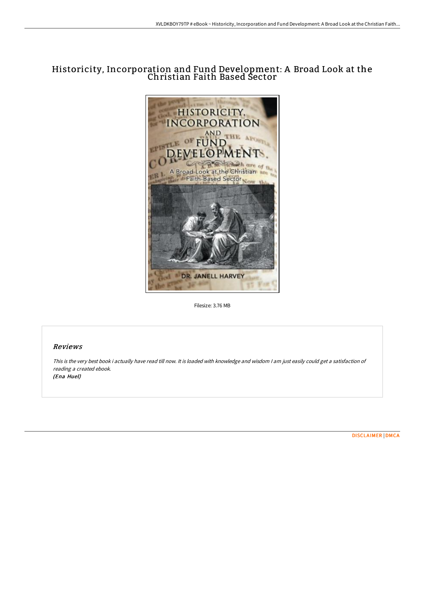## Historicity, Incorporation and Fund Development: A Broad Look at the Christian Faith Based Sector



Filesize: 3.76 MB

## Reviews

This is the very best book i actually have read till now. It is loaded with knowledge and wisdom <sup>I</sup> am just easily could get <sup>a</sup> satisfaction of reading <sup>a</sup> created ebook. (Ena Huel)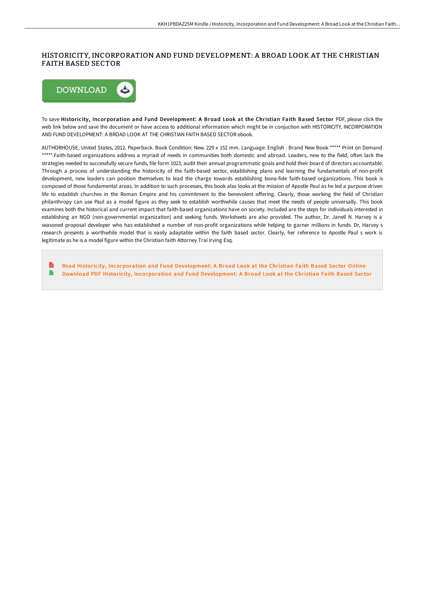## HISTORICITY, INCORPORATION AND FUND DEVELOPMENT: A BROAD LOOK AT THE CHRISTIAN FAITH BASED SECTOR



To save Historicity, Incorporation and Fund Development: A Broad Look at the Christian Faith Based Sector PDF, please click the web link below and save the document or have access to additional information which might be in conjuction with HISTORICITY, INCORPORATION AND FUND DEVELOPMENT: A BROAD LOOK AT THE CHRISTIAN FAITH BASED SECTOR ebook.

AUTHORHOUSE, United States, 2012. Paperback. Book Condition: New. 229 x 152 mm. Language: English . Brand New Book \*\*\*\*\* Print on Demand \*\*\*\*\*.Faith-based organizations address a myriad of needs in communities both domestic and abroad. Leaders, new to the field, often lack the strategies needed to successfully secure funds, file form 1023, audit their annual programmatic goals and hold their board of directors accountable. Through a process of understanding the historicity of the faith-based sector, establishing plans and learning the fundamentals of non-profit development, new leaders can position themselves to lead the charge towards establishing bona-fide faith-based organizations. This book is composed of those fundamental areas. In addition to such processes, this book also looks at the mission of Apostle Paul as he led a purpose driven life to establish churches in the Roman Empire and his commitment to the benevolent offering. Clearly, those working the field of Christian philanthropy can use Paul as a model figure as they seek to establish worthwhile causes that meet the needs of people universally. This book examines both the historical and current impact that faith-based organizations have on society. Included are the steps for individuals interested in establishing an NGO (non-governmental organization) and seeking funds. Worksheets are also provided. The author, Dr. Janell N. Harvey is a seasoned proposal developer who has established a number of non-profit organizations while helping to garner millions in funds. Dr, Harvey s research presents a worthwhile model that is easily adaptable within the faith based sector. Clearly, her reference to Apostle Paul s work is legitimate as he is a model figure within the Christian faith Attorney Trai Irving Esq.

**R** Read Historicity, [Incorporation](http://digilib.live/historicity-incorporation-and-fund-development-a.html) and Fund Development: A Broad Look at the Christian Faith Based Sector Online e Download PDF Historicity, [Incorporation](http://digilib.live/historicity-incorporation-and-fund-development-a.html) and Fund Development: A Broad Look at the Christian Faith Based Sector